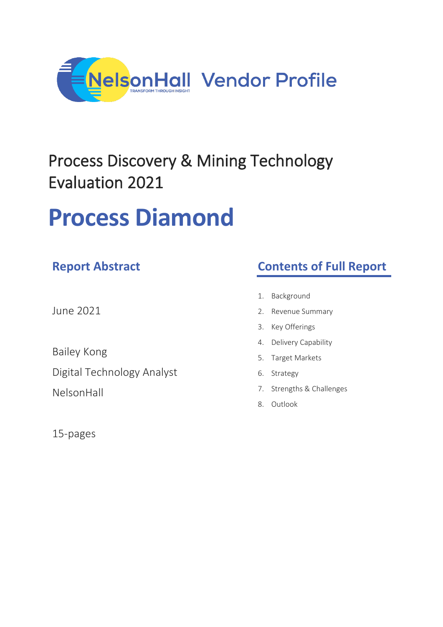

## Process Discovery & Mining Technology Evaluation 2021

# **Process Diamond**

### **Report Abstract**

June 2021

Bailey Kong

Digital Technology Analyst

NelsonHall

15-pages

### **Contents of Full Report**

- 1. Background
- 2. Revenue Summary
- 3. Key Offerings
- 4. Delivery Capability
- 5. Target Markets
- 6. Strategy
- 7. Strengths & Challenges
- 8. Outlook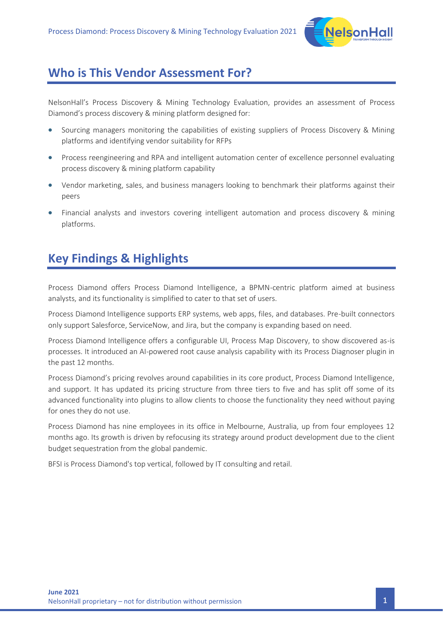

#### **Who is This Vendor Assessment For?**

NelsonHall's Process Discovery & Mining Technology Evaluation, provides an assessment of Process Diamond's process discovery & mining platform designed for:

- Sourcing managers monitoring the capabilities of existing suppliers of Process Discovery & Mining platforms and identifying vendor suitability for RFPs
- Process reengineering and RPA and intelligent automation center of excellence personnel evaluating process discovery & mining platform capability
- Vendor marketing, sales, and business managers looking to benchmark their platforms against their peers
- Financial analysts and investors covering intelligent automation and process discovery & mining platforms.

#### **Key Findings & Highlights**

Process Diamond offers Process Diamond Intelligence, a BPMN-centric platform aimed at business analysts, and its functionality is simplified to cater to that set of users.

Process Diamond Intelligence supports ERP systems, web apps, files, and databases. Pre-built connectors only support Salesforce, ServiceNow, and Jira, but the company is expanding based on need.

Process Diamond Intelligence offers a configurable UI, Process Map Discovery, to show discovered as-is processes. It introduced an AI-powered root cause analysis capability with its Process Diagnoser plugin in the past 12 months.

Process Diamond's pricing revolves around capabilities in its core product, Process Diamond Intelligence, and support. It has updated its pricing structure from three tiers to five and has split off some of its advanced functionality into plugins to allow clients to choose the functionality they need without paying for ones they do not use.

Process Diamond has nine employees in its office in Melbourne, Australia, up from four employees 12 months ago. Its growth is driven by refocusing its strategy around product development due to the client budget sequestration from the global pandemic.

BFSI is Process Diamond's top vertical, followed by IT consulting and retail.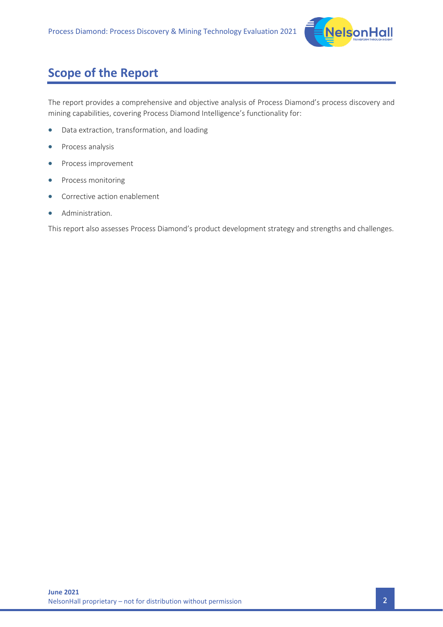

### **Scope of the Report**

The report provides a comprehensive and objective analysis of Process Diamond's process discovery and mining capabilities, covering Process Diamond Intelligence's functionality for:

- Data extraction, transformation, and loading
- Process analysis
- Process improvement
- Process monitoring
- Corrective action enablement
- Administration.

This report also assesses Process Diamond's product development strategy and strengths and challenges.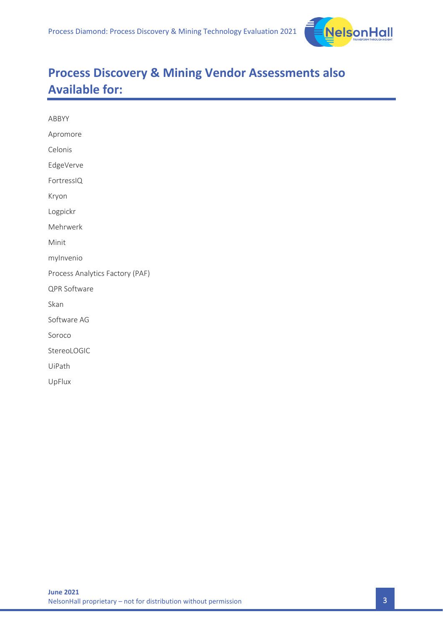

### **Process Discovery & Mining Vendor Assessments also Available for:**

| ABBYY                           |  |  |
|---------------------------------|--|--|
| Apromore                        |  |  |
| Celonis                         |  |  |
| EdgeVerve                       |  |  |
| FortressIQ                      |  |  |
| Kryon                           |  |  |
| Logpickr                        |  |  |
| Mehrwerk                        |  |  |
| Minit                           |  |  |
| mylnvenio                       |  |  |
| Process Analytics Factory (PAF) |  |  |
| QPR Software                    |  |  |
| Skan                            |  |  |
| Software AG                     |  |  |
| Soroco                          |  |  |
| StereoLOGIC                     |  |  |
| UiPath                          |  |  |
| UpFlux                          |  |  |
|                                 |  |  |